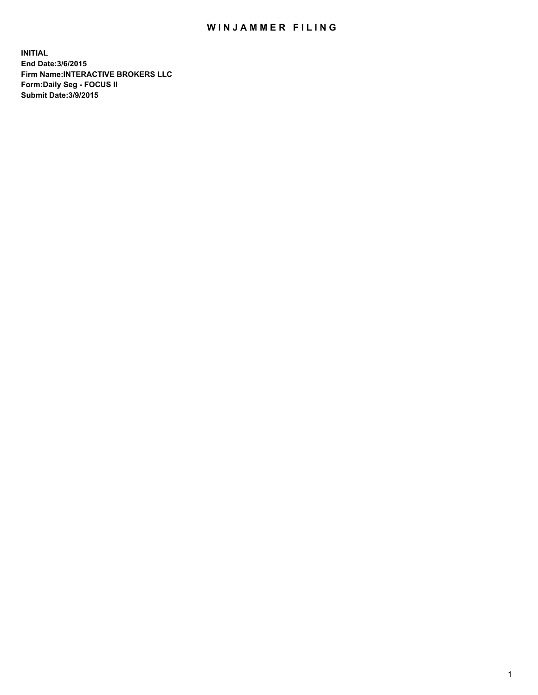## WIN JAMMER FILING

**INITIAL End Date:3/6/2015 Firm Name:INTERACTIVE BROKERS LLC Form:Daily Seg - FOCUS II Submit Date:3/9/2015**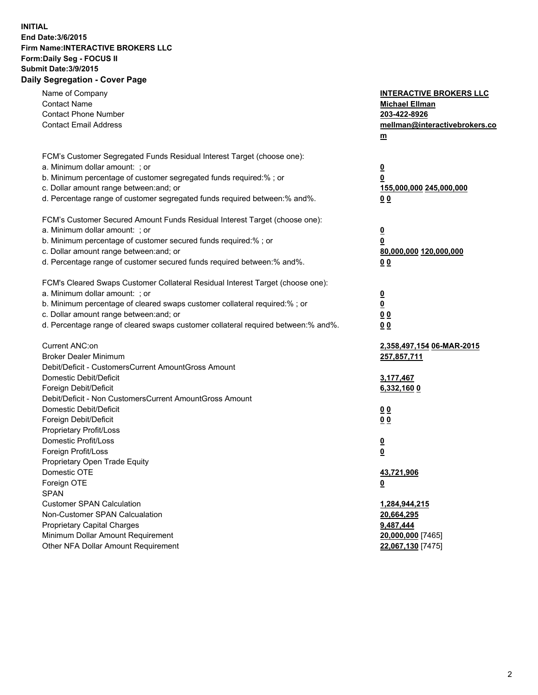## **INITIAL End Date:3/6/2015 Firm Name:INTERACTIVE BROKERS LLC Form:Daily Seg - FOCUS II Submit Date:3/9/2015 Daily Segregation - Cover Page**

| Name of Company                                                                   | <b>INTERACTIVE BROKERS LLC</b> |
|-----------------------------------------------------------------------------------|--------------------------------|
| <b>Contact Name</b>                                                               | <b>Michael Ellman</b>          |
| <b>Contact Phone Number</b>                                                       | 203-422-8926                   |
| <b>Contact Email Address</b>                                                      | mellman@interactivebrokers.co  |
|                                                                                   | $\underline{\mathbf{m}}$       |
|                                                                                   |                                |
| FCM's Customer Segregated Funds Residual Interest Target (choose one):            |                                |
| a. Minimum dollar amount: ; or                                                    | $\overline{\mathbf{0}}$        |
| b. Minimum percentage of customer segregated funds required:% ; or                | 0                              |
| c. Dollar amount range between: and; or                                           | 155,000,000 245,000,000        |
| d. Percentage range of customer segregated funds required between:% and%.         | 00                             |
| FCM's Customer Secured Amount Funds Residual Interest Target (choose one):        |                                |
| a. Minimum dollar amount: ; or                                                    | $\overline{\mathbf{0}}$        |
| b. Minimum percentage of customer secured funds required:% ; or                   | 0                              |
| c. Dollar amount range between: and; or                                           | 80,000,000 120,000,000         |
| d. Percentage range of customer secured funds required between:% and%.            | 00                             |
|                                                                                   |                                |
| FCM's Cleared Swaps Customer Collateral Residual Interest Target (choose one):    |                                |
| a. Minimum dollar amount: ; or                                                    | $\overline{\mathbf{0}}$        |
| b. Minimum percentage of cleared swaps customer collateral required:% ; or        | $\underline{\mathbf{0}}$       |
| c. Dollar amount range between: and; or                                           | 0 <sub>0</sub>                 |
| d. Percentage range of cleared swaps customer collateral required between:% and%. | 0 <sub>0</sub>                 |
|                                                                                   |                                |
| Current ANC:on                                                                    | 2,358,497,154 06-MAR-2015      |
| <b>Broker Dealer Minimum</b>                                                      | 257,857,711                    |
| Debit/Deficit - CustomersCurrent AmountGross Amount                               |                                |
| Domestic Debit/Deficit                                                            | 3,177,467                      |
| Foreign Debit/Deficit                                                             | 6,332,160 0                    |
| Debit/Deficit - Non CustomersCurrent AmountGross Amount                           |                                |
| Domestic Debit/Deficit                                                            | 0 <sub>0</sub>                 |
| Foreign Debit/Deficit                                                             | 0 <sub>0</sub>                 |
| Proprietary Profit/Loss                                                           |                                |
| Domestic Profit/Loss                                                              | $\overline{\mathbf{0}}$        |
| Foreign Profit/Loss                                                               | $\underline{\mathbf{0}}$       |
| Proprietary Open Trade Equity<br>Domestic OTE                                     |                                |
|                                                                                   | 43,721,906                     |
| Foreign OTE                                                                       | <u>0</u>                       |
| <b>SPAN</b><br><b>Customer SPAN Calculation</b>                                   |                                |
|                                                                                   | 1,284,944,215                  |
| Non-Customer SPAN Calcualation                                                    | 20,664,295                     |
| Proprietary Capital Charges<br>Minimum Dollar Amount Requirement                  | 9,487,444                      |
| Other NFA Dollar Amount Requirement                                               | 20,000,000 [7465]              |
|                                                                                   | 22,067,130 [7475]              |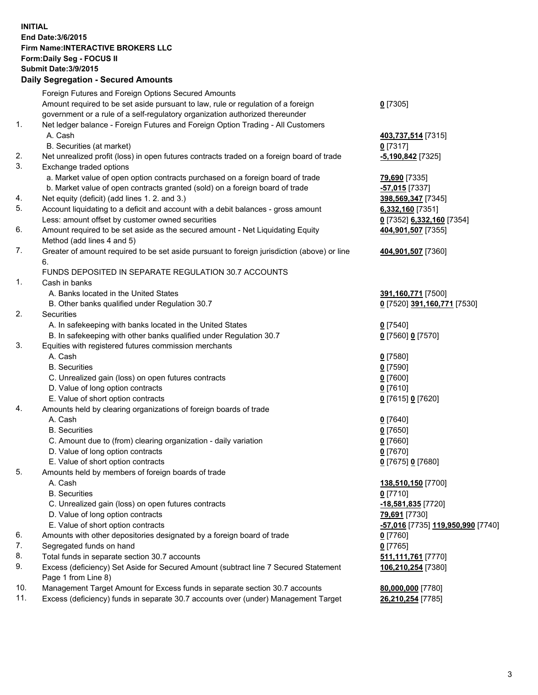## **INITIAL End Date:3/6/2015 Firm Name:INTERACTIVE BROKERS LLC Form:Daily Seg - FOCUS II Submit Date:3/9/2015 Daily Segregation - Secured Amounts**

|     | Foreign Futures and Foreign Options Secured Amounts                                         |                                                         |
|-----|---------------------------------------------------------------------------------------------|---------------------------------------------------------|
|     | Amount required to be set aside pursuant to law, rule or regulation of a foreign            | $0$ [7305]                                              |
|     | government or a rule of a self-regulatory organization authorized thereunder                |                                                         |
| 1.  | Net ledger balance - Foreign Futures and Foreign Option Trading - All Customers             |                                                         |
|     | A. Cash                                                                                     | 403,737,514 [7315]                                      |
|     | B. Securities (at market)                                                                   | $0$ [7317]                                              |
| 2.  | Net unrealized profit (loss) in open futures contracts traded on a foreign board of trade   | -5,190,842 [7325]                                       |
| 3.  | Exchange traded options                                                                     |                                                         |
|     | a. Market value of open option contracts purchased on a foreign board of trade              | 79,690 [7335]                                           |
|     | b. Market value of open contracts granted (sold) on a foreign board of trade                | <mark>-57,015</mark> [7337]                             |
| 4.  | Net equity (deficit) (add lines 1. 2. and 3.)                                               | 398,569,347 [7345]                                      |
| 5.  | Account liquidating to a deficit and account with a debit balances - gross amount           | 6,332,160 [7351]                                        |
|     | Less: amount offset by customer owned securities                                            |                                                         |
| 6.  |                                                                                             | 0 [7352] 6,332,160 [7354]                               |
|     | Amount required to be set aside as the secured amount - Net Liquidating Equity              | 404,901,507 [7355]                                      |
|     | Method (add lines 4 and 5)                                                                  |                                                         |
| 7.  | Greater of amount required to be set aside pursuant to foreign jurisdiction (above) or line | 404,901,507 [7360]                                      |
|     | 6.                                                                                          |                                                         |
|     | FUNDS DEPOSITED IN SEPARATE REGULATION 30.7 ACCOUNTS                                        |                                                         |
| 1.  | Cash in banks                                                                               |                                                         |
|     | A. Banks located in the United States                                                       | 391,160,771 [7500]                                      |
|     | B. Other banks qualified under Regulation 30.7                                              | 0 [7520] 391,160,771 [7530]                             |
| 2.  | Securities                                                                                  |                                                         |
|     | A. In safekeeping with banks located in the United States                                   | $Q$ [7540]                                              |
|     | B. In safekeeping with other banks qualified under Regulation 30.7                          | 0 [7560] 0 [7570]                                       |
| 3.  | Equities with registered futures commission merchants                                       |                                                         |
|     | A. Cash                                                                                     | $0$ [7580]                                              |
|     | <b>B.</b> Securities                                                                        | $0$ [7590]                                              |
|     | C. Unrealized gain (loss) on open futures contracts                                         | $0$ [7600]                                              |
|     | D. Value of long option contracts                                                           | $0$ [7610]                                              |
|     | E. Value of short option contracts                                                          | 0 [7615] 0 [7620]                                       |
| 4.  | Amounts held by clearing organizations of foreign boards of trade                           |                                                         |
|     | A. Cash                                                                                     | $0$ [7640]                                              |
|     | <b>B.</b> Securities                                                                        | $0$ [7650]                                              |
|     | C. Amount due to (from) clearing organization - daily variation                             | $0$ [7660]                                              |
|     | D. Value of long option contracts                                                           | $0$ [7670]                                              |
|     | E. Value of short option contracts                                                          | 0 [7675] 0 [7680]                                       |
| 5.  | Amounts held by members of foreign boards of trade                                          |                                                         |
|     | A. Cash                                                                                     | 138,510,150 [7700]                                      |
|     | <b>B.</b> Securities                                                                        | $0$ [7710]                                              |
|     | C. Unrealized gain (loss) on open futures contracts                                         | -18,581,835 [7720]                                      |
|     | D. Value of long option contracts                                                           | 79,691 [7730]                                           |
|     | E. Value of short option contracts                                                          | <u>-<b>57,016</b> [</u> 7735] <u>119,950,990</u> [7740] |
| 6.  | Amounts with other depositories designated by a foreign board of trade                      | $0$ [7760]                                              |
| 7.  | Segregated funds on hand                                                                    | $0$ [7765]                                              |
| 8.  | Total funds in separate section 30.7 accounts                                               | 511,111,761 [7770]                                      |
| 9.  | Excess (deficiency) Set Aside for Secured Amount (subtract line 7 Secured Statement         | 106,210,254 [7380]                                      |
|     | Page 1 from Line 8)                                                                         |                                                         |
| 10. | Management Target Amount for Excess funds in separate section 30.7 accounts                 | 80,000,000 [7780]                                       |
| 11. | Excess (deficiency) funds in separate 30.7 accounts over (under) Management Target          | 26,210,254 [7785]                                       |
|     |                                                                                             |                                                         |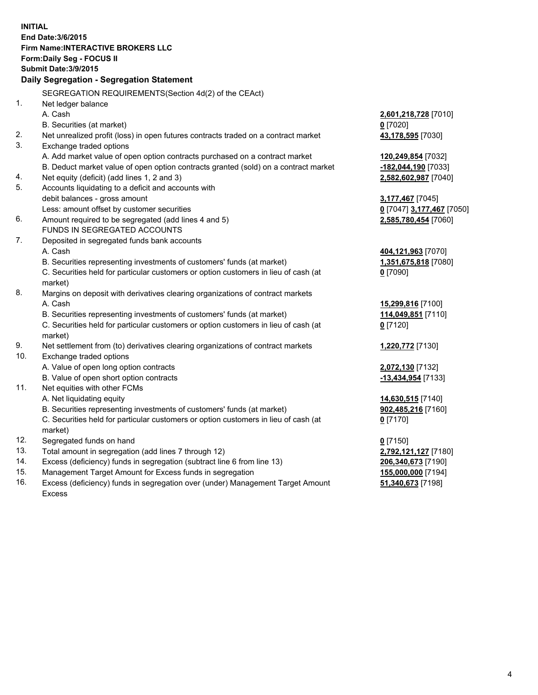**INITIAL End Date:3/6/2015 Firm Name:INTERACTIVE BROKERS LLC Form:Daily Seg - FOCUS II Submit Date:3/9/2015 Daily Segregation - Segregation Statement** SEGREGATION REQUIREMENTS(Section 4d(2) of the CEAct) 1. Net ledger balance A. Cash **2,601,218,728** [7010] B. Securities (at market) **0** [7020] 2. Net unrealized profit (loss) in open futures contracts traded on a contract market **43,178,595** [7030] 3. Exchange traded options A. Add market value of open option contracts purchased on a contract market **120,249,854** [7032] B. Deduct market value of open option contracts granted (sold) on a contract market **-182,044,190** [7033] 4. Net equity (deficit) (add lines 1, 2 and 3) **2,582,602,987** [7040] 5. Accounts liquidating to a deficit and accounts with debit balances - gross amount **3,177,467** [7045] Less: amount offset by customer securities **0** [7047] **3,177,467** [7050] 6. Amount required to be segregated (add lines 4 and 5) **2,585,780,454** [7060] FUNDS IN SEGREGATED ACCOUNTS 7. Deposited in segregated funds bank accounts A. Cash **404,121,963** [7070] B. Securities representing investments of customers' funds (at market) **1,351,675,818** [7080] C. Securities held for particular customers or option customers in lieu of cash (at market) **0** [7090] 8. Margins on deposit with derivatives clearing organizations of contract markets A. Cash **15,299,816** [7100] B. Securities representing investments of customers' funds (at market) **114,049,851** [7110] C. Securities held for particular customers or option customers in lieu of cash (at market) **0** [7120] 9. Net settlement from (to) derivatives clearing organizations of contract markets **1,220,772** [7130] 10. Exchange traded options A. Value of open long option contracts **2,072,130** [7132] B. Value of open short option contracts **-13,434,954** [7133] 11. Net equities with other FCMs A. Net liquidating equity **14,630,515** [7140] B. Securities representing investments of customers' funds (at market) **902,485,216** [7160] C. Securities held for particular customers or option customers in lieu of cash (at market) **0** [7170] 12. Segregated funds on hand **0** [7150] 13. Total amount in segregation (add lines 7 through 12) **2,792,121,127** [7180] 14. Excess (deficiency) funds in segregation (subtract line 6 from line 13) **206,340,673** [7190] 15. Management Target Amount for Excess funds in segregation **155,000,000** [7194] **51,340,673** [7198]

16. Excess (deficiency) funds in segregation over (under) Management Target Amount Excess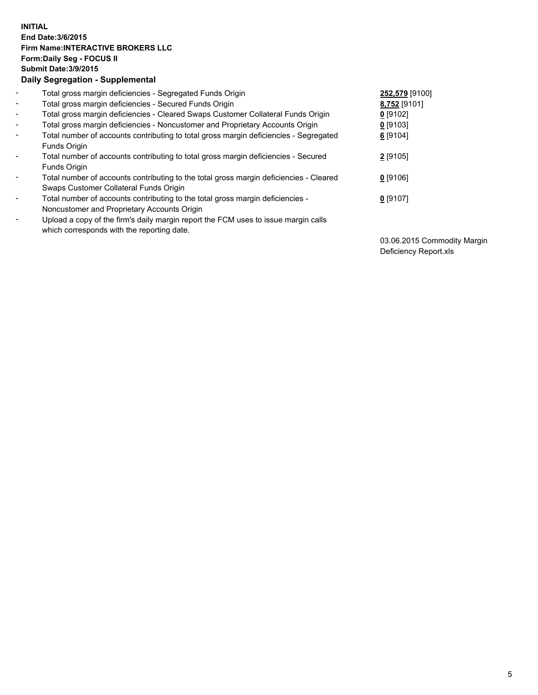## **INITIAL End Date:3/6/2015 Firm Name:INTERACTIVE BROKERS LLC Form:Daily Seg - FOCUS II Submit Date:3/9/2015 Daily Segregation - Supplemental**

| $\blacksquare$ | Total gross margin deficiencies - Segregated Funds Origin                                                                        | 252,579 [9100] |
|----------------|----------------------------------------------------------------------------------------------------------------------------------|----------------|
| $\sim$         | Total gross margin deficiencies - Secured Funds Origin                                                                           | 8,752 [9101]   |
| $\blacksquare$ | Total gross margin deficiencies - Cleared Swaps Customer Collateral Funds Origin                                                 | 0 [9102]       |
| $\blacksquare$ | Total gross margin deficiencies - Noncustomer and Proprietary Accounts Origin                                                    | $0$ [9103]     |
| $\blacksquare$ | Total number of accounts contributing to total gross margin deficiencies - Segregated                                            | 6 [9104]       |
|                | Funds Origin                                                                                                                     |                |
| $\blacksquare$ | Total number of accounts contributing to total gross margin deficiencies - Secured<br>Funds Origin                               | 2 [9105]       |
| $\blacksquare$ | Total number of accounts contributing to the total gross margin deficiencies - Cleared<br>Swaps Customer Collateral Funds Origin | $0$ [9106]     |
| $\blacksquare$ | Total number of accounts contributing to the total gross margin deficiencies -                                                   | $0$ [9107]     |
|                | Noncustomer and Proprietary Accounts Origin                                                                                      |                |
| Ξ.             | Upload a copy of the firm's daily margin report the FCM uses to issue margin calls<br>which corresponds with the reporting date. |                |

03.06.2015 Commodity Margin Deficiency Report.xls